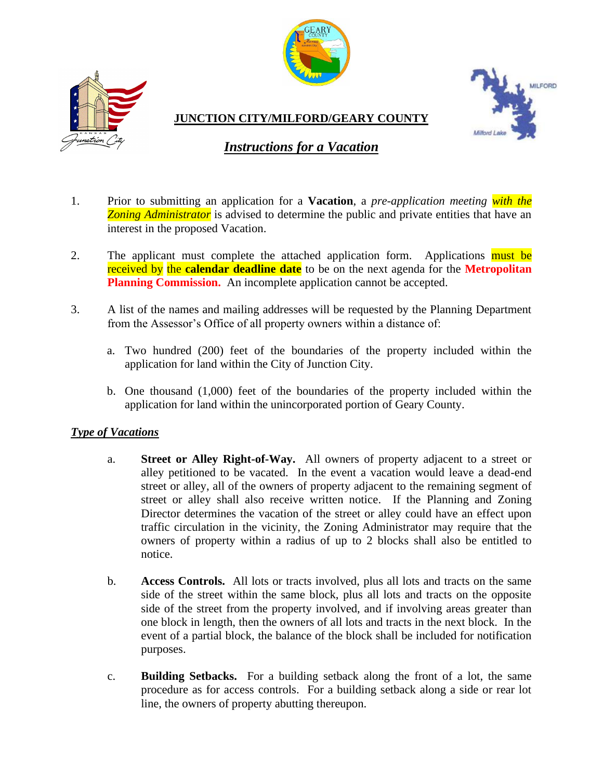



**JUNCTION CITY/MILFORD/GEARY COUNTY**



## *Instructions for a Vacation*

- 1. Prior to submitting an application for a **Vacation**, a *pre-application meeting with the*  **Zoning Administrator** is advised to determine the public and private entities that have an interest in the proposed Vacation.
- 2. The applicant must complete the attached application form. Applications must be received by the **calendar deadline date** to be on the next agenda for the **Metropolitan Planning Commission.** An incomplete application cannot be accepted.
- 3. A list of the names and mailing addresses will be requested by the Planning Department from the Assessor's Office of all property owners within a distance of:
	- a. Two hundred (200) feet of the boundaries of the property included within the application for land within the City of Junction City.
	- b. One thousand (1,000) feet of the boundaries of the property included within the application for land within the unincorporated portion of Geary County.

## *Type of Vacations*

- a. **Street or Alley Right-of-Way.** All owners of property adjacent to a street or alley petitioned to be vacated. In the event a vacation would leave a dead-end street or alley, all of the owners of property adjacent to the remaining segment of street or alley shall also receive written notice. If the Planning and Zoning Director determines the vacation of the street or alley could have an effect upon traffic circulation in the vicinity, the Zoning Administrator may require that the owners of property within a radius of up to 2 blocks shall also be entitled to notice.
- b. **Access Controls.** All lots or tracts involved, plus all lots and tracts on the same side of the street within the same block, plus all lots and tracts on the opposite side of the street from the property involved, and if involving areas greater than one block in length, then the owners of all lots and tracts in the next block. In the event of a partial block, the balance of the block shall be included for notification purposes.
- c. **Building Setbacks.** For a building setback along the front of a lot, the same procedure as for access controls. For a building setback along a side or rear lot line, the owners of property abutting thereupon.